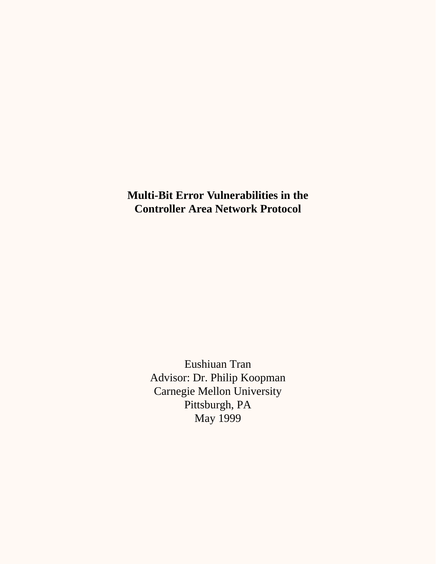**Multi-Bit Error Vulnerabilities in the Controller Area Network Protocol**

> Eushiuan Tran Advisor: Dr. Philip Koopman Carnegie Mellon University Pittsburgh, PA May 1999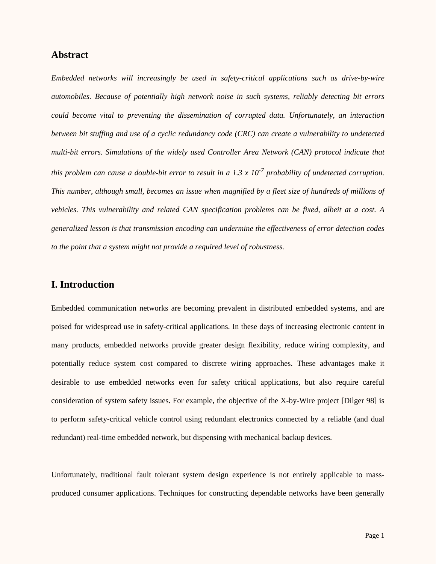## **Abstract**

*Embedded networks will increasingly be used in safety-critical applications such as drive-by-wire automobiles. Because of potentially high network noise in such systems, reliably detecting bit errors could become vital to preventing the dissemination of corrupted data. Unfortunately, an interaction between bit stuffing and use of a cyclic redundancy code (CRC) can create a vulnerability to undetected multi-bit errors. Simulations of the widely used Controller Area Network (CAN) protocol indicate that this problem can cause a double-bit error to result in a 1.3 x 10-7 probability of undetected corruption. This number, although small, becomes an issue when magnified by a fleet size of hundreds of millions of vehicles. This vulnerability and related CAN specification problems can be fixed, albeit at a cost. A generalized lesson is that transmission encoding can undermine the effectiveness of error detection codes to the point that a system might not provide a required level of robustness.*

### **I. Introduction**

Embedded communication networks are becoming prevalent in distributed embedded systems, and are poised for widespread use in safety-critical applications. In these days of increasing electronic content in many products, embedded networks provide greater design flexibility, reduce wiring complexity, and potentially reduce system cost compared to discrete wiring approaches. These advantages make it desirable to use embedded networks even for safety critical applications, but also require careful consideration of system safety issues. For example, the objective of the X-by-Wire project [Dilger 98] is to perform safety-critical vehicle control using redundant electronics connected by a reliable (and dual redundant) real-time embedded network, but dispensing with mechanical backup devices.

Unfortunately, traditional fault tolerant system design experience is not entirely applicable to massproduced consumer applications. Techniques for constructing dependable networks have been generally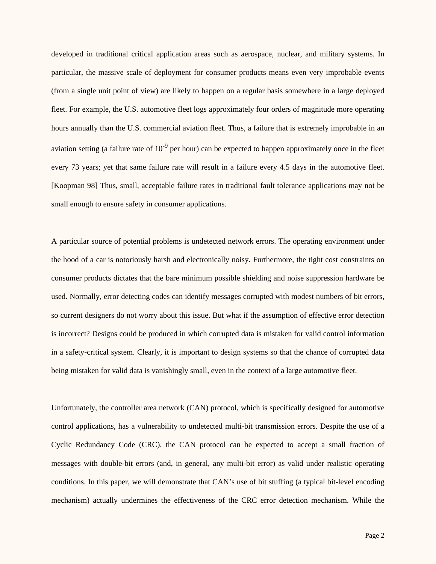developed in traditional critical application areas such as aerospace, nuclear, and military systems. In particular, the massive scale of deployment for consumer products means even very improbable events (from a single unit point of view) are likely to happen on a regular basis somewhere in a large deployed fleet. For example, the U.S. automotive fleet logs approximately four orders of magnitude more operating hours annually than the U.S. commercial aviation fleet. Thus, a failure that is extremely improbable in an aviation setting (a failure rate of  $10^{-9}$  per hour) can be expected to happen approximately once in the fleet every 73 years; yet that same failure rate will result in a failure every 4.5 days in the automotive fleet. [Koopman 98] Thus, small, acceptable failure rates in traditional fault tolerance applications may not be small enough to ensure safety in consumer applications.

A particular source of potential problems is undetected network errors. The operating environment under the hood of a car is notoriously harsh and electronically noisy. Furthermore, the tight cost constraints on consumer products dictates that the bare minimum possible shielding and noise suppression hardware be used. Normally, error detecting codes can identify messages corrupted with modest numbers of bit errors, so current designers do not worry about this issue. But what if the assumption of effective error detection is incorrect? Designs could be produced in which corrupted data is mistaken for valid control information in a safety-critical system. Clearly, it is important to design systems so that the chance of corrupted data being mistaken for valid data is vanishingly small, even in the context of a large automotive fleet.

Unfortunately, the controller area network (CAN) protocol, which is specifically designed for automotive control applications, has a vulnerability to undetected multi-bit transmission errors. Despite the use of a Cyclic Redundancy Code (CRC), the CAN protocol can be expected to accept a small fraction of messages with double-bit errors (and, in general, any multi-bit error) as valid under realistic operating conditions. In this paper, we will demonstrate that CAN's use of bit stuffing (a typical bit-level encoding mechanism) actually undermines the effectiveness of the CRC error detection mechanism. While the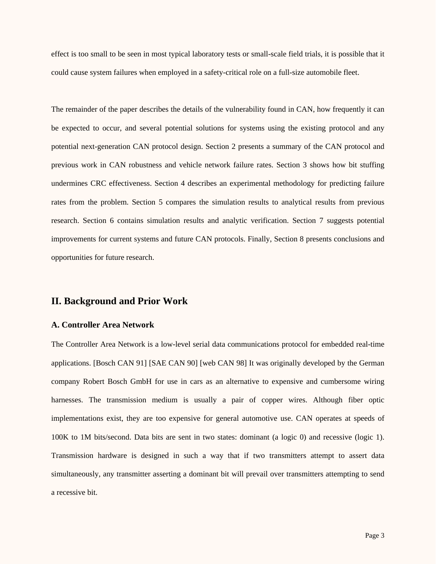effect is too small to be seen in most typical laboratory tests or small-scale field trials, it is possible that it could cause system failures when employed in a safety-critical role on a full-size automobile fleet.

The remainder of the paper describes the details of the vulnerability found in CAN, how frequently it can be expected to occur, and several potential solutions for systems using the existing protocol and any potential next-generation CAN protocol design. Section 2 presents a summary of the CAN protocol and previous work in CAN robustness and vehicle network failure rates. Section 3 shows how bit stuffing undermines CRC effectiveness. Section 4 describes an experimental methodology for predicting failure rates from the problem. Section 5 compares the simulation results to analytical results from previous research. Section 6 contains simulation results and analytic verification. Section 7 suggests potential improvements for current systems and future CAN protocols. Finally, Section 8 presents conclusions and opportunities for future research.

### **II. Background and Prior Work**

#### **A. Controller Area Network**

The Controller Area Network is a low-level serial data communications protocol for embedded real-time applications. [Bosch CAN 91] [SAE CAN 90] [web CAN 98] It was originally developed by the German company Robert Bosch GmbH for use in cars as an alternative to expensive and cumbersome wiring harnesses. The transmission medium is usually a pair of copper wires. Although fiber optic implementations exist, they are too expensive for general automotive use. CAN operates at speeds of 100K to 1M bits/second. Data bits are sent in two states: dominant (a logic 0) and recessive (logic 1). Transmission hardware is designed in such a way that if two transmitters attempt to assert data simultaneously, any transmitter asserting a dominant bit will prevail over transmitters attempting to send a recessive bit.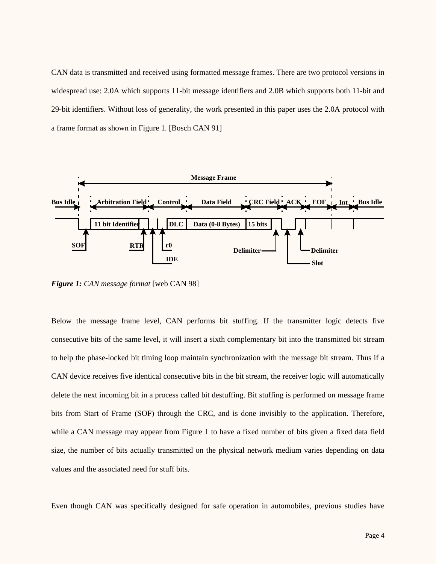CAN data is transmitted and received using formatted message frames. There are two protocol versions in widespread use: 2.0A which supports 11-bit message identifiers and 2.0B which supports both 11-bit and 29-bit identifiers. Without loss of generality, the work presented in this paper uses the 2.0A protocol with a frame format as shown in Figure 1. [Bosch CAN 91]



*Figure 1: CAN message format* [web CAN 98]

Below the message frame level, CAN performs bit stuffing. If the transmitter logic detects five consecutive bits of the same level, it will insert a sixth complementary bit into the transmitted bit stream to help the phase-locked bit timing loop maintain synchronization with the message bit stream. Thus if a CAN device receives five identical consecutive bits in the bit stream, the receiver logic will automatically delete the next incoming bit in a process called bit destuffing. Bit stuffing is performed on message frame bits from Start of Frame (SOF) through the CRC, and is done invisibly to the application. Therefore, while a CAN message may appear from Figure 1 to have a fixed number of bits given a fixed data field size, the number of bits actually transmitted on the physical network medium varies depending on data values and the associated need for stuff bits.

Even though CAN was specifically designed for safe operation in automobiles, previous studies have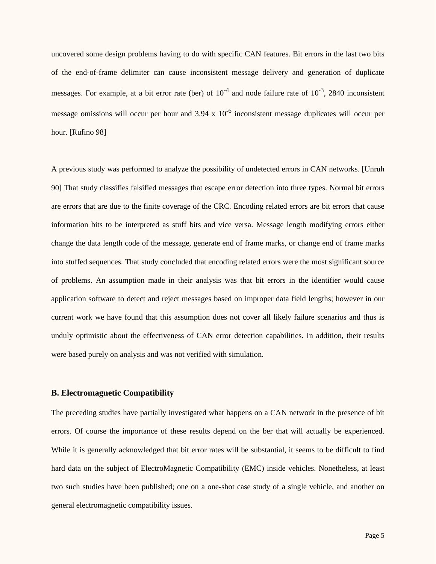uncovered some design problems having to do with specific CAN features. Bit errors in the last two bits of the end-of-frame delimiter can cause inconsistent message delivery and generation of duplicate messages. For example, at a bit error rate (ber) of  $10^{-4}$  and node failure rate of  $10^{-3}$ , 2840 inconsistent message omissions will occur per hour and  $3.94 \times 10^{-6}$  inconsistent message duplicates will occur per hour. [Rufino 98]

A previous study was performed to analyze the possibility of undetected errors in CAN networks. [Unruh 90] That study classifies falsified messages that escape error detection into three types. Normal bit errors are errors that are due to the finite coverage of the CRC. Encoding related errors are bit errors that cause information bits to be interpreted as stuff bits and vice versa. Message length modifying errors either change the data length code of the message, generate end of frame marks, or change end of frame marks into stuffed sequences. That study concluded that encoding related errors were the most significant source of problems. An assumption made in their analysis was that bit errors in the identifier would cause application software to detect and reject messages based on improper data field lengths; however in our current work we have found that this assumption does not cover all likely failure scenarios and thus is unduly optimistic about the effectiveness of CAN error detection capabilities. In addition, their results were based purely on analysis and was not verified with simulation.

#### **B. Electromagnetic Compatibility**

The preceding studies have partially investigated what happens on a CAN network in the presence of bit errors. Of course the importance of these results depend on the ber that will actually be experienced. While it is generally acknowledged that bit error rates will be substantial, it seems to be difficult to find hard data on the subject of ElectroMagnetic Compatibility (EMC) inside vehicles. Nonetheless, at least two such studies have been published; one on a one-shot case study of a single vehicle, and another on general electromagnetic compatibility issues.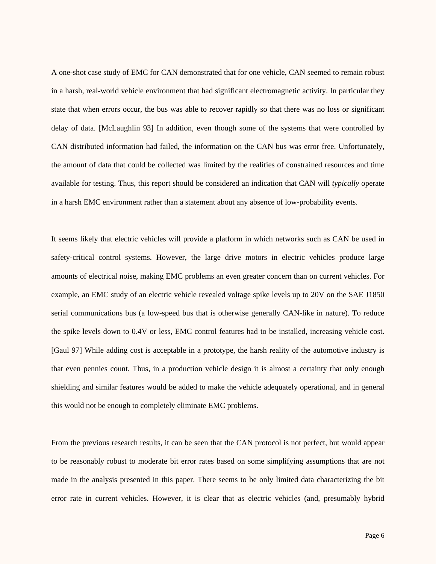A one-shot case study of EMC for CAN demonstrated that for one vehicle, CAN seemed to remain robust in a harsh, real-world vehicle environment that had significant electromagnetic activity. In particular they state that when errors occur, the bus was able to recover rapidly so that there was no loss or significant delay of data. [McLaughlin 93] In addition, even though some of the systems that were controlled by CAN distributed information had failed, the information on the CAN bus was error free. Unfortunately, the amount of data that could be collected was limited by the realities of constrained resources and time available for testing. Thus, this report should be considered an indication that CAN will *typically* operate in a harsh EMC environment rather than a statement about any absence of low-probability events.

It seems likely that electric vehicles will provide a platform in which networks such as CAN be used in safety-critical control systems. However, the large drive motors in electric vehicles produce large amounts of electrical noise, making EMC problems an even greater concern than on current vehicles. For example, an EMC study of an electric vehicle revealed voltage spike levels up to 20V on the SAE J1850 serial communications bus (a low-speed bus that is otherwise generally CAN-like in nature). To reduce the spike levels down to 0.4V or less, EMC control features had to be installed, increasing vehicle cost. [Gaul 97] While adding cost is acceptable in a prototype, the harsh reality of the automotive industry is that even pennies count. Thus, in a production vehicle design it is almost a certainty that only enough shielding and similar features would be added to make the vehicle adequately operational, and in general this would not be enough to completely eliminate EMC problems.

From the previous research results, it can be seen that the CAN protocol is not perfect, but would appear to be reasonably robust to moderate bit error rates based on some simplifying assumptions that are not made in the analysis presented in this paper. There seems to be only limited data characterizing the bit error rate in current vehicles. However, it is clear that as electric vehicles (and, presumably hybrid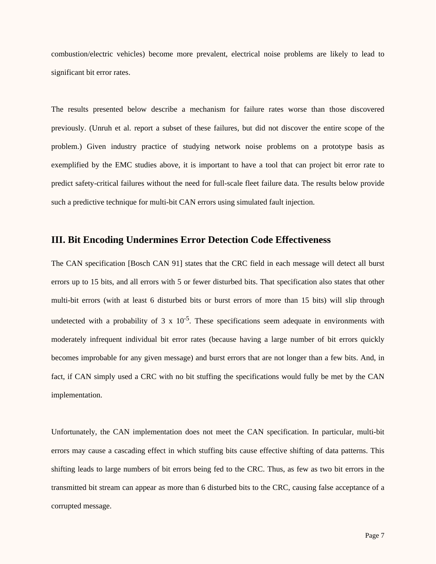combustion/electric vehicles) become more prevalent, electrical noise problems are likely to lead to significant bit error rates.

The results presented below describe a mechanism for failure rates worse than those discovered previously. (Unruh et al. report a subset of these failures, but did not discover the entire scope of the problem.) Given industry practice of studying network noise problems on a prototype basis as exemplified by the EMC studies above, it is important to have a tool that can project bit error rate to predict safety-critical failures without the need for full-scale fleet failure data. The results below provide such a predictive technique for multi-bit CAN errors using simulated fault injection.

## **III. Bit Encoding Undermines Error Detection Code Effectiveness**

The CAN specification [Bosch CAN 91] states that the CRC field in each message will detect all burst errors up to 15 bits, and all errors with 5 or fewer disturbed bits. That specification also states that other multi-bit errors (with at least 6 disturbed bits or burst errors of more than 15 bits) will slip through undetected with a probability of  $3 \times 10^{-5}$ . These specifications seem adequate in environments with moderately infrequent individual bit error rates (because having a large number of bit errors quickly becomes improbable for any given message) and burst errors that are not longer than a few bits. And, in fact, if CAN simply used a CRC with no bit stuffing the specifications would fully be met by the CAN implementation.

Unfortunately, the CAN implementation does not meet the CAN specification. In particular, multi-bit errors may cause a cascading effect in which stuffing bits cause effective shifting of data patterns. This shifting leads to large numbers of bit errors being fed to the CRC. Thus, as few as two bit errors in the transmitted bit stream can appear as more than 6 disturbed bits to the CRC, causing false acceptance of a corrupted message.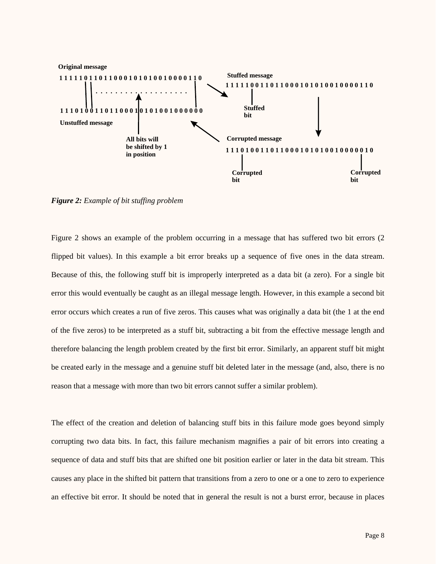

*Figure 2: Example of bit stuffing problem*

Figure 2 shows an example of the problem occurring in a message that has suffered two bit errors (2 flipped bit values). In this example a bit error breaks up a sequence of five ones in the data stream. Because of this, the following stuff bit is improperly interpreted as a data bit (a zero). For a single bit error this would eventually be caught as an illegal message length. However, in this example a second bit error occurs which creates a run of five zeros. This causes what was originally a data bit (the 1 at the end of the five zeros) to be interpreted as a stuff bit, subtracting a bit from the effective message length and therefore balancing the length problem created by the first bit error. Similarly, an apparent stuff bit might be created early in the message and a genuine stuff bit deleted later in the message (and, also, there is no reason that a message with more than two bit errors cannot suffer a similar problem).

The effect of the creation and deletion of balancing stuff bits in this failure mode goes beyond simply corrupting two data bits. In fact, this failure mechanism magnifies a pair of bit errors into creating a sequence of data and stuff bits that are shifted one bit position earlier or later in the data bit stream. This causes any place in the shifted bit pattern that transitions from a zero to one or a one to zero to experience an effective bit error. It should be noted that in general the result is not a burst error, because in places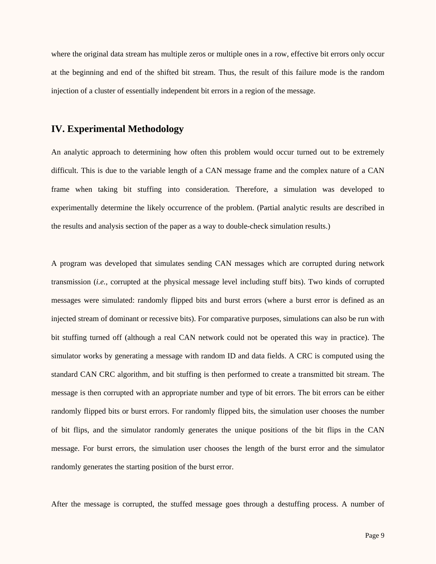where the original data stream has multiple zeros or multiple ones in a row, effective bit errors only occur at the beginning and end of the shifted bit stream. Thus, the result of this failure mode is the random injection of a cluster of essentially independent bit errors in a region of the message.

### **IV. Experimental Methodology**

An analytic approach to determining how often this problem would occur turned out to be extremely difficult. This is due to the variable length of a CAN message frame and the complex nature of a CAN frame when taking bit stuffing into consideration. Therefore, a simulation was developed to experimentally determine the likely occurrence of the problem. (Partial analytic results are described in the results and analysis section of the paper as a way to double-check simulation results.)

A program was developed that simulates sending CAN messages which are corrupted during network transmission (*i.e.*, corrupted at the physical message level including stuff bits). Two kinds of corrupted messages were simulated: randomly flipped bits and burst errors (where a burst error is defined as an injected stream of dominant or recessive bits). For comparative purposes, simulations can also be run with bit stuffing turned off (although a real CAN network could not be operated this way in practice). The simulator works by generating a message with random ID and data fields. A CRC is computed using the standard CAN CRC algorithm, and bit stuffing is then performed to create a transmitted bit stream. The message is then corrupted with an appropriate number and type of bit errors. The bit errors can be either randomly flipped bits or burst errors. For randomly flipped bits, the simulation user chooses the number of bit flips, and the simulator randomly generates the unique positions of the bit flips in the CAN message. For burst errors, the simulation user chooses the length of the burst error and the simulator randomly generates the starting position of the burst error.

After the message is corrupted, the stuffed message goes through a destuffing process. A number of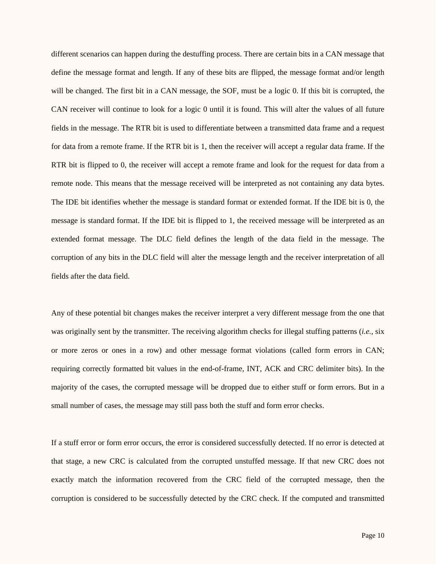different scenarios can happen during the destuffing process. There are certain bits in a CAN message that define the message format and length. If any of these bits are flipped, the message format and/or length will be changed. The first bit in a CAN message, the SOF, must be a logic 0. If this bit is corrupted, the CAN receiver will continue to look for a logic 0 until it is found. This will alter the values of all future fields in the message. The RTR bit is used to differentiate between a transmitted data frame and a request for data from a remote frame. If the RTR bit is 1, then the receiver will accept a regular data frame. If the RTR bit is flipped to 0, the receiver will accept a remote frame and look for the request for data from a remote node. This means that the message received will be interpreted as not containing any data bytes. The IDE bit identifies whether the message is standard format or extended format. If the IDE bit is 0, the message is standard format. If the IDE bit is flipped to 1, the received message will be interpreted as an extended format message. The DLC field defines the length of the data field in the message. The corruption of any bits in the DLC field will alter the message length and the receiver interpretation of all fields after the data field.

Any of these potential bit changes makes the receiver interpret a very different message from the one that was originally sent by the transmitter. The receiving algorithm checks for illegal stuffing patterns (*i.e.*, six or more zeros or ones in a row) and other message format violations (called form errors in CAN; requiring correctly formatted bit values in the end-of-frame, INT, ACK and CRC delimiter bits). In the majority of the cases, the corrupted message will be dropped due to either stuff or form errors. But in a small number of cases, the message may still pass both the stuff and form error checks.

If a stuff error or form error occurs, the error is considered successfully detected. If no error is detected at that stage, a new CRC is calculated from the corrupted unstuffed message. If that new CRC does not exactly match the information recovered from the CRC field of the corrupted message, then the corruption is considered to be successfully detected by the CRC check. If the computed and transmitted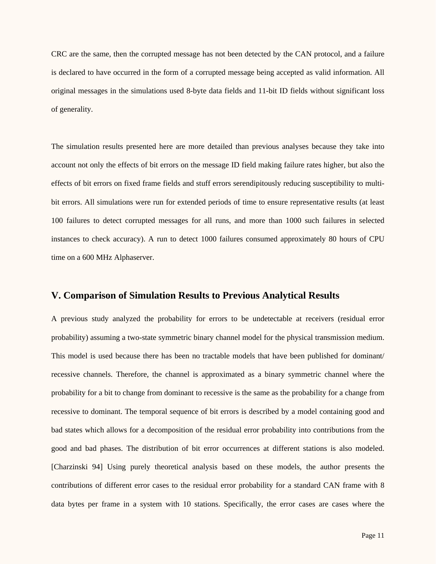CRC are the same, then the corrupted message has not been detected by the CAN protocol, and a failure is declared to have occurred in the form of a corrupted message being accepted as valid information. All original messages in the simulations used 8-byte data fields and 11-bit ID fields without significant loss of generality.

The simulation results presented here are more detailed than previous analyses because they take into account not only the effects of bit errors on the message ID field making failure rates higher, but also the effects of bit errors on fixed frame fields and stuff errors serendipitously reducing susceptibility to multibit errors. All simulations were run for extended periods of time to ensure representative results (at least 100 failures to detect corrupted messages for all runs, and more than 1000 such failures in selected instances to check accuracy). A run to detect 1000 failures consumed approximately 80 hours of CPU time on a 600 MHz Alphaserver.

### **V. Comparison of Simulation Results to Previous Analytical Results**

A previous study analyzed the probability for errors to be undetectable at receivers (residual error probability) assuming a two-state symmetric binary channel model for the physical transmission medium. This model is used because there has been no tractable models that have been published for dominant/ recessive channels. Therefore, the channel is approximated as a binary symmetric channel where the probability for a bit to change from dominant to recessive is the same as the probability for a change from recessive to dominant. The temporal sequence of bit errors is described by a model containing good and bad states which allows for a decomposition of the residual error probability into contributions from the good and bad phases. The distribution of bit error occurrences at different stations is also modeled. [Charzinski 94] Using purely theoretical analysis based on these models, the author presents the contributions of different error cases to the residual error probability for a standard CAN frame with 8 data bytes per frame in a system with 10 stations. Specifically, the error cases are cases where the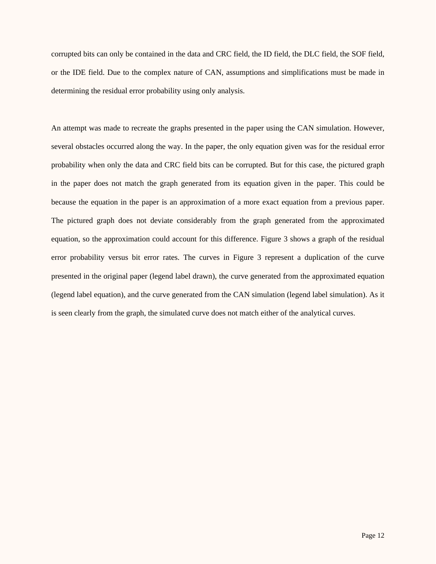corrupted bits can only be contained in the data and CRC field, the ID field, the DLC field, the SOF field, or the IDE field. Due to the complex nature of CAN, assumptions and simplifications must be made in determining the residual error probability using only analysis.

An attempt was made to recreate the graphs presented in the paper using the CAN simulation. However, several obstacles occurred along the way. In the paper, the only equation given was for the residual error probability when only the data and CRC field bits can be corrupted. But for this case, the pictured graph in the paper does not match the graph generated from its equation given in the paper. This could be because the equation in the paper is an approximation of a more exact equation from a previous paper. The pictured graph does not deviate considerably from the graph generated from the approximated equation, so the approximation could account for this difference. Figure 3 shows a graph of the residual error probability versus bit error rates. The curves in Figure 3 represent a duplication of the curve presented in the original paper (legend label drawn), the curve generated from the approximated equation (legend label equation), and the curve generated from the CAN simulation (legend label simulation). As it is seen clearly from the graph, the simulated curve does not match either of the analytical curves.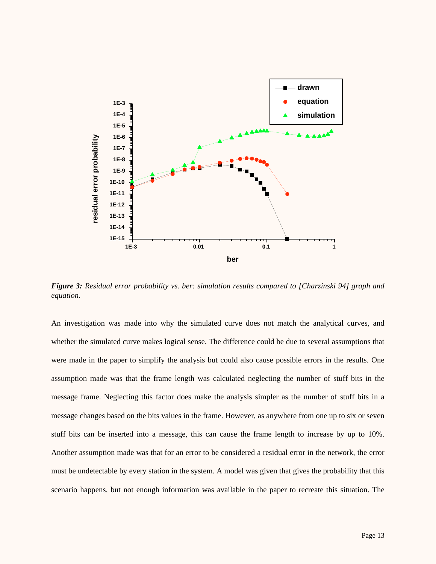

*Figure 3: Residual error probability vs. ber: simulation results compared to [Charzinski 94] graph and equation.*

An investigation was made into why the simulated curve does not match the analytical curves, and whether the simulated curve makes logical sense. The difference could be due to several assumptions that were made in the paper to simplify the analysis but could also cause possible errors in the results. One assumption made was that the frame length was calculated neglecting the number of stuff bits in the message frame. Neglecting this factor does make the analysis simpler as the number of stuff bits in a message changes based on the bits values in the frame. However, as anywhere from one up to six or seven stuff bits can be inserted into a message, this can cause the frame length to increase by up to 10%. Another assumption made was that for an error to be considered a residual error in the network, the error must be undetectable by every station in the system. A model was given that gives the probability that this scenario happens, but not enough information was available in the paper to recreate this situation. The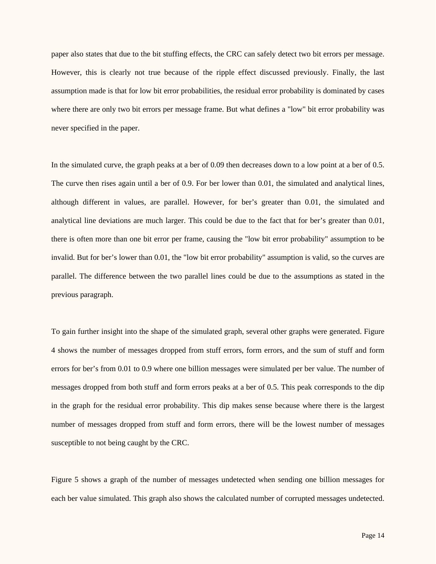paper also states that due to the bit stuffing effects, the CRC can safely detect two bit errors per message. However, this is clearly not true because of the ripple effect discussed previously. Finally, the last assumption made is that for low bit error probabilities, the residual error probability is dominated by cases where there are only two bit errors per message frame. But what defines a "low" bit error probability was never specified in the paper.

In the simulated curve, the graph peaks at a ber of 0.09 then decreases down to a low point at a ber of 0.5. The curve then rises again until a ber of 0.9. For ber lower than 0.01, the simulated and analytical lines, although different in values, are parallel. However, for ber's greater than 0.01, the simulated and analytical line deviations are much larger. This could be due to the fact that for ber's greater than 0.01, there is often more than one bit error per frame, causing the "low bit error probability" assumption to be invalid. But for ber's lower than 0.01, the "low bit error probability" assumption is valid, so the curves are parallel. The difference between the two parallel lines could be due to the assumptions as stated in the previous paragraph.

To gain further insight into the shape of the simulated graph, several other graphs were generated. Figure 4 shows the number of messages dropped from stuff errors, form errors, and the sum of stuff and form errors for ber's from 0.01 to 0.9 where one billion messages were simulated per ber value. The number of messages dropped from both stuff and form errors peaks at a ber of 0.5. This peak corresponds to the dip in the graph for the residual error probability. This dip makes sense because where there is the largest number of messages dropped from stuff and form errors, there will be the lowest number of messages susceptible to not being caught by the CRC.

Figure 5 shows a graph of the number of messages undetected when sending one billion messages for each ber value simulated. This graph also shows the calculated number of corrupted messages undetected.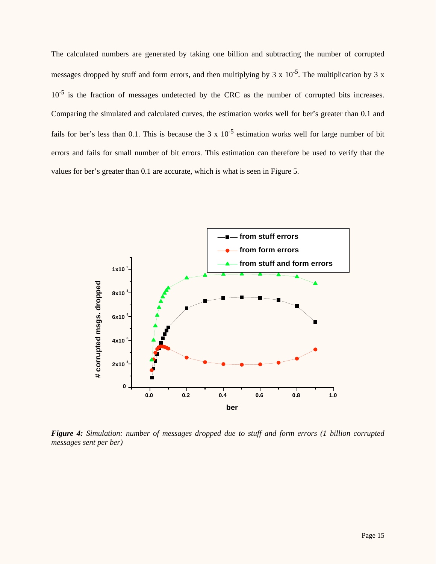The calculated numbers are generated by taking one billion and subtracting the number of corrupted messages dropped by stuff and form errors, and then multiplying by  $3 \times 10^{-5}$ . The multiplication by  $3 \times 10^{-5}$  $10^{-5}$  is the fraction of messages undetected by the CRC as the number of corrupted bits increases. Comparing the simulated and calculated curves, the estimation works well for ber's greater than 0.1 and fails for ber's less than 0.1. This is because the 3 x  $10^{-5}$  estimation works well for large number of bit errors and fails for small number of bit errors. This estimation can therefore be used to verify that the values for ber's greater than 0.1 are accurate, which is what is seen in Figure 5.



*Figure 4: Simulation: number of messages dropped due to stuff and form errors (1 billion corrupted messages sent per ber)*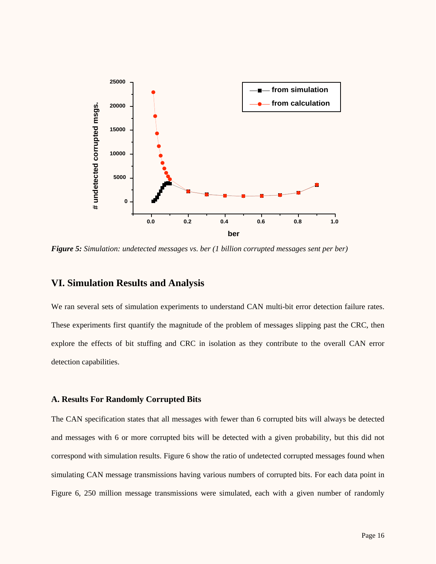

*Figure 5: Simulation: undetected messages vs. ber (1 billion corrupted messages sent per ber)*

## **VI. Simulation Results and Analysis**

We ran several sets of simulation experiments to understand CAN multi-bit error detection failure rates. These experiments first quantify the magnitude of the problem of messages slipping past the CRC, then explore the effects of bit stuffing and CRC in isolation as they contribute to the overall CAN error detection capabilities.

#### **A. Results For Randomly Corrupted Bits**

The CAN specification states that all messages with fewer than 6 corrupted bits will always be detected and messages with 6 or more corrupted bits will be detected with a given probability, but this did not correspond with simulation results. Figure 6 show the ratio of undetected corrupted messages found when simulating CAN message transmissions having various numbers of corrupted bits. For each data point in Figure 6, 250 million message transmissions were simulated, each with a given number of randomly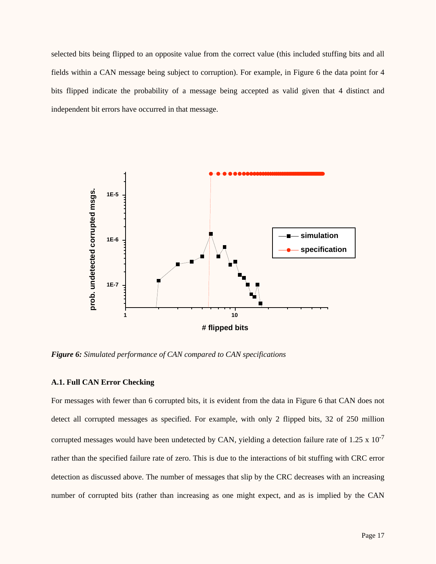selected bits being flipped to an opposite value from the correct value (this included stuffing bits and all fields within a CAN message being subject to corruption). For example, in Figure 6 the data point for 4 bits flipped indicate the probability of a message being accepted as valid given that 4 distinct and independent bit errors have occurred in that message.



*Figure 6: Simulated performance of CAN compared to CAN specifications*

### **A.1. Full CAN Error Checking**

For messages with fewer than 6 corrupted bits, it is evident from the data in Figure 6 that CAN does not detect all corrupted messages as specified. For example, with only 2 flipped bits, 32 of 250 million corrupted messages would have been undetected by CAN, yielding a detection failure rate of 1.25 x  $10^{-7}$ rather than the specified failure rate of zero. This is due to the interactions of bit stuffing with CRC error detection as discussed above. The number of messages that slip by the CRC decreases with an increasing number of corrupted bits (rather than increasing as one might expect, and as is implied by the CAN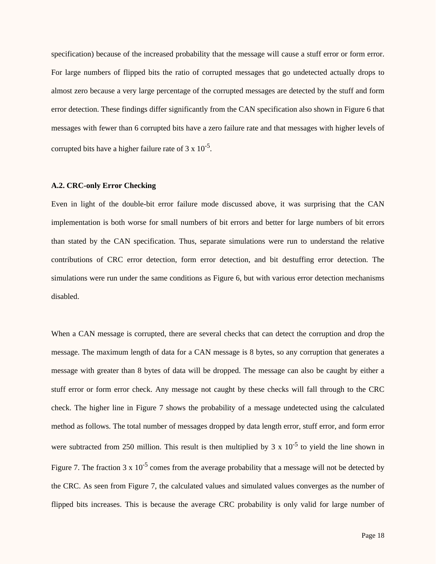specification) because of the increased probability that the message will cause a stuff error or form error. For large numbers of flipped bits the ratio of corrupted messages that go undetected actually drops to almost zero because a very large percentage of the corrupted messages are detected by the stuff and form error detection. These findings differ significantly from the CAN specification also shown in Figure 6 that messages with fewer than 6 corrupted bits have a zero failure rate and that messages with higher levels of corrupted bits have a higher failure rate of  $3 \times 10^{-5}$ .

#### **A.2. CRC-only Error Checking**

Even in light of the double-bit error failure mode discussed above, it was surprising that the CAN implementation is both worse for small numbers of bit errors and better for large numbers of bit errors than stated by the CAN specification. Thus, separate simulations were run to understand the relative contributions of CRC error detection, form error detection, and bit destuffing error detection. The simulations were run under the same conditions as Figure 6, but with various error detection mechanisms disabled.

When a CAN message is corrupted, there are several checks that can detect the corruption and drop the message. The maximum length of data for a CAN message is 8 bytes, so any corruption that generates a message with greater than 8 bytes of data will be dropped. The message can also be caught by either a stuff error or form error check. Any message not caught by these checks will fall through to the CRC check. The higher line in Figure 7 shows the probability of a message undetected using the calculated method as follows. The total number of messages dropped by data length error, stuff error, and form error were subtracted from 250 million. This result is then multiplied by 3 x  $10^{-5}$  to yield the line shown in Figure 7. The fraction 3 x  $10^{-5}$  comes from the average probability that a message will not be detected by the CRC. As seen from Figure 7, the calculated values and simulated values converges as the number of flipped bits increases. This is because the average CRC probability is only valid for large number of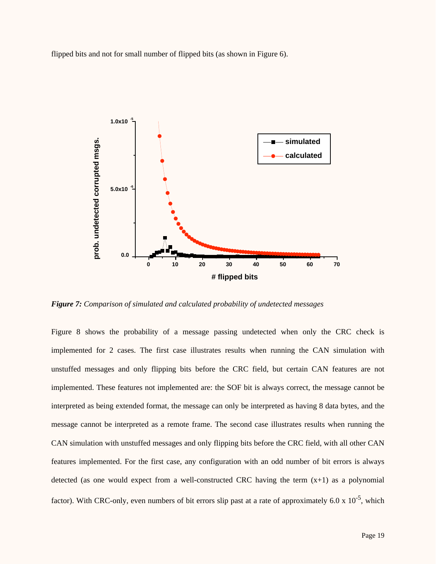flipped bits and not for small number of flipped bits (as shown in Figure 6).



*Figure 7: Comparison of simulated and calculated probability of undetected messages*

Figure 8 shows the probability of a message passing undetected when only the CRC check is implemented for 2 cases. The first case illustrates results when running the CAN simulation with unstuffed messages and only flipping bits before the CRC field, but certain CAN features are not implemented. These features not implemented are: the SOF bit is always correct, the message cannot be interpreted as being extended format, the message can only be interpreted as having 8 data bytes, and the message cannot be interpreted as a remote frame. The second case illustrates results when running the CAN simulation with unstuffed messages and only flipping bits before the CRC field, with all other CAN features implemented. For the first case, any configuration with an odd number of bit errors is always detected (as one would expect from a well-constructed CRC having the term  $(x+1)$  as a polynomial factor). With CRC-only, even numbers of bit errors slip past at a rate of approximately 6.0 x  $10^{-5}$ , which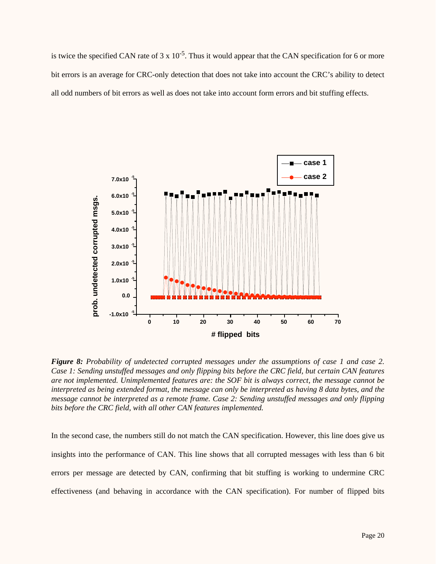is twice the specified CAN rate of  $3 \times 10^{-5}$ . Thus it would appear that the CAN specification for 6 or more bit errors is an average for CRC-only detection that does not take into account the CRC's ability to detect all odd numbers of bit errors as well as does not take into account form errors and bit stuffing effects.



*Figure 8: Probability of undetected corrupted messages under the assumptions of case 1 and case 2. Case 1: Sending unstuffed messages and only flipping bits before the CRC field, but certain CAN features are not implemented. Unimplemented features are: the SOF bit is always correct, the message cannot be interpreted as being extended format, the message can only be interpreted as having 8 data bytes, and the message cannot be interpreted as a remote frame. Case 2: Sending unstuffed messages and only flipping bits before the CRC field, with all other CAN features implemented.*

In the second case, the numbers still do not match the CAN specification. However, this line does give us insights into the performance of CAN. This line shows that all corrupted messages with less than 6 bit errors per message are detected by CAN, confirming that bit stuffing is working to undermine CRC effectiveness (and behaving in accordance with the CAN specification). For number of flipped bits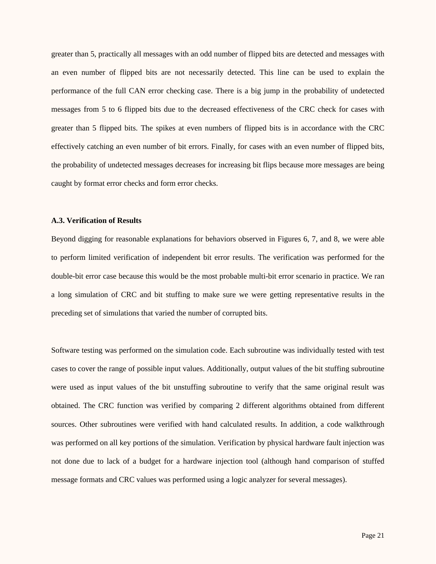greater than 5, practically all messages with an odd number of flipped bits are detected and messages with an even number of flipped bits are not necessarily detected. This line can be used to explain the performance of the full CAN error checking case. There is a big jump in the probability of undetected messages from 5 to 6 flipped bits due to the decreased effectiveness of the CRC check for cases with greater than 5 flipped bits. The spikes at even numbers of flipped bits is in accordance with the CRC effectively catching an even number of bit errors. Finally, for cases with an even number of flipped bits, the probability of undetected messages decreases for increasing bit flips because more messages are being caught by format error checks and form error checks.

#### **A.3. Verification of Results**

Beyond digging for reasonable explanations for behaviors observed in Figures 6, 7, and 8, we were able to perform limited verification of independent bit error results. The verification was performed for the double-bit error case because this would be the most probable multi-bit error scenario in practice. We ran a long simulation of CRC and bit stuffing to make sure we were getting representative results in the preceding set of simulations that varied the number of corrupted bits.

Software testing was performed on the simulation code. Each subroutine was individually tested with test cases to cover the range of possible input values. Additionally, output values of the bit stuffing subroutine were used as input values of the bit unstuffing subroutine to verify that the same original result was obtained. The CRC function was verified by comparing 2 different algorithms obtained from different sources. Other subroutines were verified with hand calculated results. In addition, a code walkthrough was performed on all key portions of the simulation. Verification by physical hardware fault injection was not done due to lack of a budget for a hardware injection tool (although hand comparison of stuffed message formats and CRC values was performed using a logic analyzer for several messages).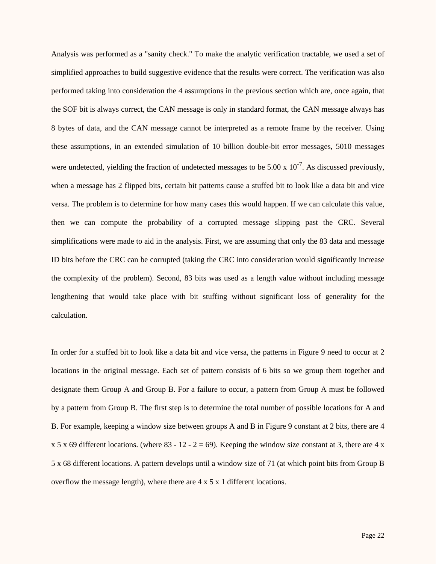Analysis was performed as a "sanity check." To make the analytic verification tractable, we used a set of simplified approaches to build suggestive evidence that the results were correct. The verification was also performed taking into consideration the 4 assumptions in the previous section which are, once again, that the SOF bit is always correct, the CAN message is only in standard format, the CAN message always has 8 bytes of data, and the CAN message cannot be interpreted as a remote frame by the receiver. Using these assumptions, in an extended simulation of 10 billion double-bit error messages, 5010 messages were undetected, yielding the fraction of undetected messages to be  $5.00 \times 10^{-7}$ . As discussed previously, when a message has 2 flipped bits, certain bit patterns cause a stuffed bit to look like a data bit and vice versa. The problem is to determine for how many cases this would happen. If we can calculate this value, then we can compute the probability of a corrupted message slipping past the CRC. Several simplifications were made to aid in the analysis. First, we are assuming that only the 83 data and message ID bits before the CRC can be corrupted (taking the CRC into consideration would significantly increase the complexity of the problem). Second, 83 bits was used as a length value without including message lengthening that would take place with bit stuffing without significant loss of generality for the calculation.

In order for a stuffed bit to look like a data bit and vice versa, the patterns in Figure 9 need to occur at 2 locations in the original message. Each set of pattern consists of 6 bits so we group them together and designate them Group A and Group B. For a failure to occur, a pattern from Group A must be followed by a pattern from Group B. The first step is to determine the total number of possible locations for A and B. For example, keeping a window size between groups A and B in Figure 9 constant at 2 bits, there are 4  $x 5 x 69$  different locations. (where 83 - 12 - 2 = 69). Keeping the window size constant at 3, there are 4 x 5 x 68 different locations. A pattern develops until a window size of 71 (at which point bits from Group B overflow the message length), where there are 4 x 5 x 1 different locations.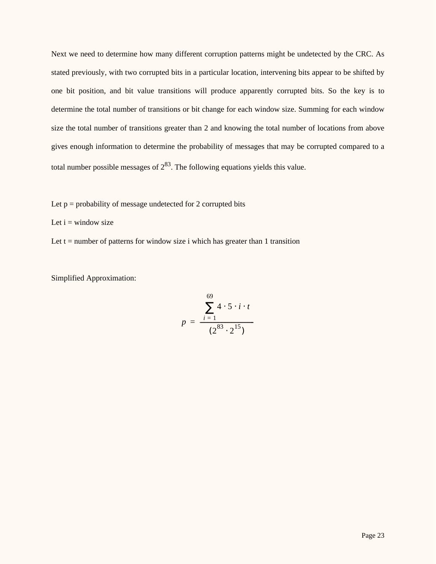Next we need to determine how many different corruption patterns might be undetected by the CRC. As stated previously, with two corrupted bits in a particular location, intervening bits appear to be shifted by one bit position, and bit value transitions will produce apparently corrupted bits. So the key is to determine the total number of transitions or bit change for each window size. Summing for each window size the total number of transitions greater than 2 and knowing the total number of locations from above gives enough information to determine the probability of messages that may be corrupted compared to a total number possible messages of  $2^{83}$ . The following equations yields this value.

- Let  $p =$  probability of message undetected for 2 corrupted bits
- Let  $i =$  window size
- Let  $t =$  number of patterns for window size i which has greater than 1 transition

Simplified Approximation:

$$
p = \frac{\left(\sum_{i=1}^{69} 4 \cdot 5 \cdot i \cdot t\right)}{(2^{83} \cdot 2^{15})}
$$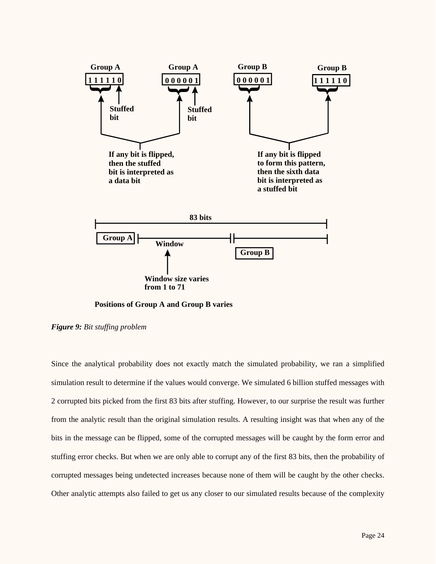

**Positions of Group A and Group B varies**

*Figure 9: Bit stuffing problem*

Since the analytical probability does not exactly match the simulated probability, we ran a simplified simulation result to determine if the values would converge. We simulated 6 billion stuffed messages with 2 corrupted bits picked from the first 83 bits after stuffing. However, to our surprise the result was further from the analytic result than the original simulation results. A resulting insight was that when any of the bits in the message can be flipped, some of the corrupted messages will be caught by the form error and stuffing error checks. But when we are only able to corrupt any of the first 83 bits, then the probability of corrupted messages being undetected increases because none of them will be caught by the other checks. Other analytic attempts also failed to get us any closer to our simulated results because of the complexity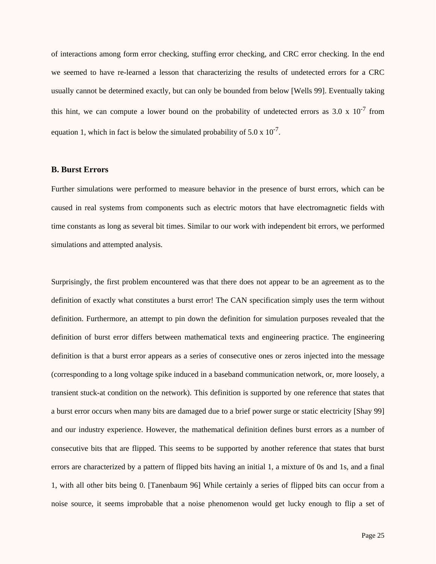of interactions among form error checking, stuffing error checking, and CRC error checking. In the end we seemed to have re-learned a lesson that characterizing the results of undetected errors for a CRC usually cannot be determined exactly, but can only be bounded from below [Wells 99]. Eventually taking this hint, we can compute a lower bound on the probability of undetected errors as  $3.0 \times 10^{-7}$  from equation 1, which in fact is below the simulated probability of  $5.0 \times 10^{-7}$ .

#### **B. Burst Errors**

Further simulations were performed to measure behavior in the presence of burst errors, which can be caused in real systems from components such as electric motors that have electromagnetic fields with time constants as long as several bit times. Similar to our work with independent bit errors, we performed simulations and attempted analysis.

Surprisingly, the first problem encountered was that there does not appear to be an agreement as to the definition of exactly what constitutes a burst error! The CAN specification simply uses the term without definition. Furthermore, an attempt to pin down the definition for simulation purposes revealed that the definition of burst error differs between mathematical texts and engineering practice. The engineering definition is that a burst error appears as a series of consecutive ones or zeros injected into the message (corresponding to a long voltage spike induced in a baseband communication network, or, more loosely, a transient stuck-at condition on the network). This definition is supported by one reference that states that a burst error occurs when many bits are damaged due to a brief power surge or static electricity [Shay 99] and our industry experience. However, the mathematical definition defines burst errors as a number of consecutive bits that are flipped. This seems to be supported by another reference that states that burst errors are characterized by a pattern of flipped bits having an initial 1, a mixture of 0s and 1s, and a final 1, with all other bits being 0. [Tanenbaum 96] While certainly a series of flipped bits can occur from a noise source, it seems improbable that a noise phenomenon would get lucky enough to flip a set of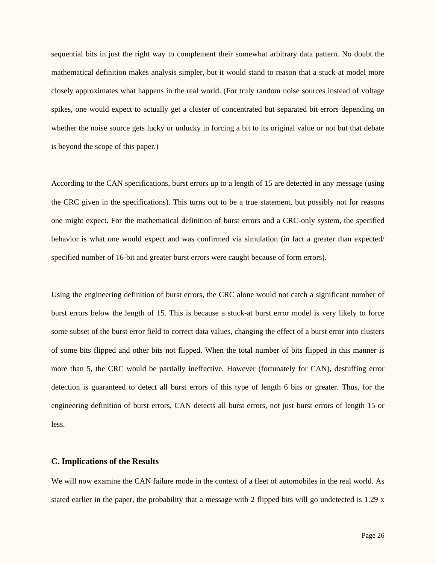sequential bits in just the right way to complement their somewhat arbitrary data pattern. No doubt the mathematical definition makes analysis simpler, but it would stand to reason that a stuck-at model more closely approximates what happens in the real world. (For truly random noise sources instead of voltage spikes, one would expect to actually get a cluster of concentrated but separated bit errors depending on whether the noise source gets lucky or unlucky in forcing a bit to its original value or not but that debate is beyond the scope of this paper.)

According to the CAN specifications, burst errors up to a length of 15 are detected in any message (using the CRC given in the specifications). This turns out to be a true statement, but possibly not for reasons one might expect. For the mathematical definition of burst errors and a CRC-only system, the specified behavior is what one would expect and was confirmed via simulation (in fact a greater than expected/ specified number of 16-bit and greater burst errors were caught because of form errors).

Using the engineering definition of burst errors, the CRC alone would not catch a significant number of burst errors below the length of 15. This is because a stuck-at burst error model is very likely to force some subset of the burst error field to correct data values, changing the effect of a burst error into clusters of some bits flipped and other bits not flipped. When the total number of bits flipped in this manner is more than 5, the CRC would be partially ineffective. However (fortunately for CAN), destuffing error detection is guaranteed to detect all burst errors of this type of length 6 bits or greater. Thus, for the engineering definition of burst errors, CAN detects all burst errors, not just burst errors of length 15 or less.

#### **C. Implications of the Results**

We will now examine the CAN failure mode in the context of a fleet of automobiles in the real world. As stated earlier in the paper, the probability that a message with 2 flipped bits will go undetected is 1.29 x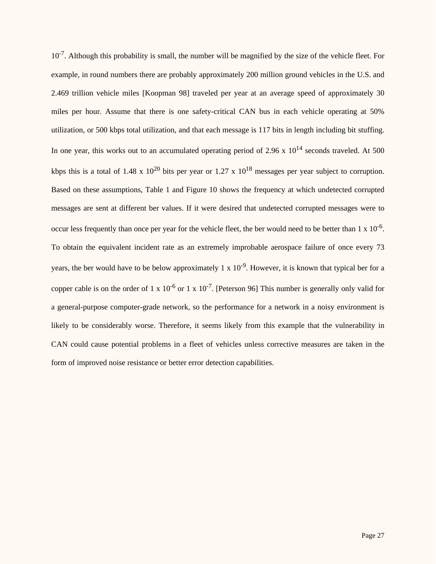$10^{-7}$ . Although this probability is small, the number will be magnified by the size of the vehicle fleet. For example, in round numbers there are probably approximately 200 million ground vehicles in the U.S. and 2.469 trillion vehicle miles [Koopman 98] traveled per year at an average speed of approximately 30 miles per hour. Assume that there is one safety-critical CAN bus in each vehicle operating at 50% utilization, or 500 kbps total utilization, and that each message is 117 bits in length including bit stuffing. In one year, this works out to an accumulated operating period of 2.96 x  $10^{14}$  seconds traveled. At 500 kbps this is a total of 1.48 x  $10^{20}$  bits per year or 1.27 x  $10^{18}$  messages per year subject to corruption. Based on these assumptions, Table 1 and Figure 10 shows the frequency at which undetected corrupted messages are sent at different ber values. If it were desired that undetected corrupted messages were to occur less frequently than once per year for the vehicle fleet, the ber would need to be better than  $1 \times 10^{-6}$ . To obtain the equivalent incident rate as an extremely improbable aerospace failure of once every 73 years, the ber would have to be below approximately 1 x  $10^{-9}$ . However, it is known that typical ber for a copper cable is on the order of 1 x  $10^{-6}$  or 1 x  $10^{-7}$ . [Peterson 96] This number is generally only valid for a general-purpose computer-grade network, so the performance for a network in a noisy environment is likely to be considerably worse. Therefore, it seems likely from this example that the vulnerability in CAN could cause potential problems in a fleet of vehicles unless corrective measures are taken in the form of improved noise resistance or better error detection capabilities.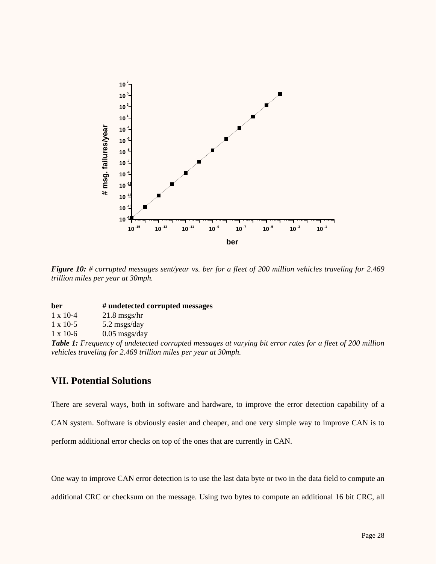

*Figure 10: # corrupted messages sent/year vs. ber for a fleet of 200 million vehicles traveling for 2.469 trillion miles per year at 30mph.*

| ber             | # undetected corrupted messages |
|-----------------|---------------------------------|
| $1 \times 10-4$ | $21.8$ msgs/hr                  |

1 x 10-5 5.2 msgs/day

1 x 10-6 0.05 msgs/day

*Table 1: Frequency of undetected corrupted messages at varying bit error rates for a fleet of 200 million vehicles traveling for 2.469 trillion miles per year at 30mph.*

# **VII. Potential Solutions**

There are several ways, both in software and hardware, to improve the error detection capability of a CAN system. Software is obviously easier and cheaper, and one very simple way to improve CAN is to perform additional error checks on top of the ones that are currently in CAN.

One way to improve CAN error detection is to use the last data byte or two in the data field to compute an additional CRC or checksum on the message. Using two bytes to compute an additional 16 bit CRC, all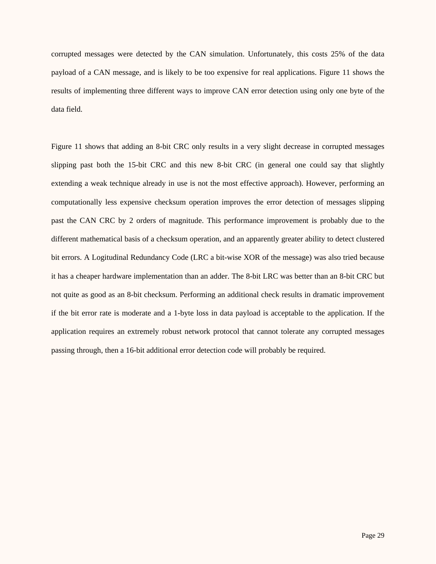corrupted messages were detected by the CAN simulation. Unfortunately, this costs 25% of the data payload of a CAN message, and is likely to be too expensive for real applications. Figure 11 shows the results of implementing three different ways to improve CAN error detection using only one byte of the data field.

Figure 11 shows that adding an 8-bit CRC only results in a very slight decrease in corrupted messages slipping past both the 15-bit CRC and this new 8-bit CRC (in general one could say that slightly extending a weak technique already in use is not the most effective approach). However, performing an computationally less expensive checksum operation improves the error detection of messages slipping past the CAN CRC by 2 orders of magnitude. This performance improvement is probably due to the different mathematical basis of a checksum operation, and an apparently greater ability to detect clustered bit errors. A Logitudinal Redundancy Code (LRC a bit-wise XOR of the message) was also tried because it has a cheaper hardware implementation than an adder. The 8-bit LRC was better than an 8-bit CRC but not quite as good as an 8-bit checksum. Performing an additional check results in dramatic improvement if the bit error rate is moderate and a 1-byte loss in data payload is acceptable to the application. If the application requires an extremely robust network protocol that cannot tolerate any corrupted messages passing through, then a 16-bit additional error detection code will probably be required.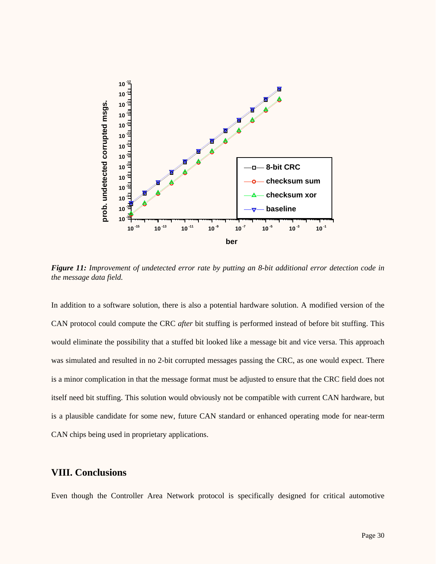

*Figure 11: Improvement of undetected error rate by putting an 8-bit additional error detection code in the message data field.*

In addition to a software solution, there is also a potential hardware solution. A modified version of the CAN protocol could compute the CRC *after* bit stuffing is performed instead of before bit stuffing. This would eliminate the possibility that a stuffed bit looked like a message bit and vice versa. This approach was simulated and resulted in no 2-bit corrupted messages passing the CRC, as one would expect. There is a minor complication in that the message format must be adjusted to ensure that the CRC field does not itself need bit stuffing. This solution would obviously not be compatible with current CAN hardware, but is a plausible candidate for some new, future CAN standard or enhanced operating mode for near-term CAN chips being used in proprietary applications.

## **VIII. Conclusions**

Even though the Controller Area Network protocol is specifically designed for critical automotive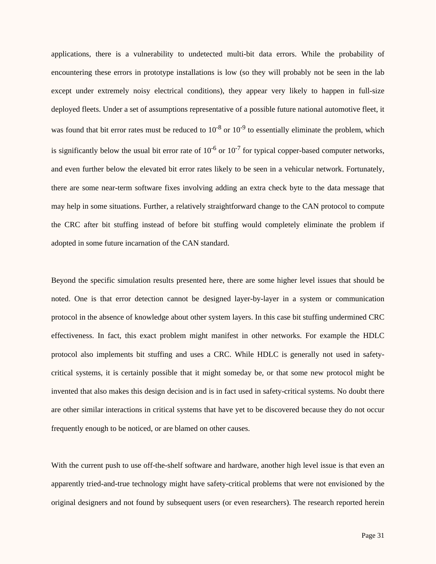applications, there is a vulnerability to undetected multi-bit data errors. While the probability of encountering these errors in prototype installations is low (so they will probably not be seen in the lab except under extremely noisy electrical conditions), they appear very likely to happen in full-size deployed fleets. Under a set of assumptions representative of a possible future national automotive fleet, it was found that bit error rates must be reduced to  $10^{-8}$  or  $10^{-9}$  to essentially eliminate the problem, which is significantly below the usual bit error rate of  $10^{-6}$  or  $10^{-7}$  for typical copper-based computer networks, and even further below the elevated bit error rates likely to be seen in a vehicular network. Fortunately, there are some near-term software fixes involving adding an extra check byte to the data message that may help in some situations. Further, a relatively straightforward change to the CAN protocol to compute the CRC after bit stuffing instead of before bit stuffing would completely eliminate the problem if adopted in some future incarnation of the CAN standard.

Beyond the specific simulation results presented here, there are some higher level issues that should be noted. One is that error detection cannot be designed layer-by-layer in a system or communication protocol in the absence of knowledge about other system layers. In this case bit stuffing undermined CRC effectiveness. In fact, this exact problem might manifest in other networks. For example the HDLC protocol also implements bit stuffing and uses a CRC. While HDLC is generally not used in safetycritical systems, it is certainly possible that it might someday be, or that some new protocol might be invented that also makes this design decision and is in fact used in safety-critical systems. No doubt there are other similar interactions in critical systems that have yet to be discovered because they do not occur frequently enough to be noticed, or are blamed on other causes.

With the current push to use off-the-shelf software and hardware, another high level issue is that even an apparently tried-and-true technology might have safety-critical problems that were not envisioned by the original designers and not found by subsequent users (or even researchers). The research reported herein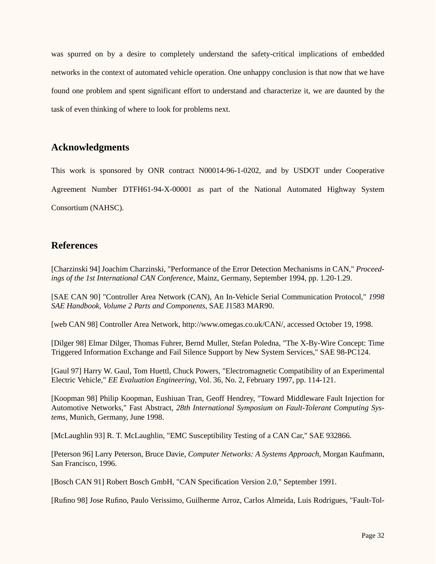was spurred on by a desire to completely understand the safety-critical implications of embedded networks in the context of automated vehicle operation. One unhappy conclusion is that now that we have found one problem and spent significant effort to understand and characterize it, we are daunted by the task of even thinking of where to look for problems next.

## **Acknowledgments**

This work is sponsored by ONR contract N00014-96-1-0202, and by USDOT under Cooperative Agreement Number DTFH61-94-X-00001 as part of the National Automated Highway System Consortium (NAHSC).

# **References**

[Charzinski 94] Joachim Charzinski, "Performance of the Error Detection Mechanisms in CAN," *Proceedings of the 1st International CAN Conference*, Mainz, Germany, September 1994, pp. 1.20-1.29.

[SAE CAN 90] "Controller Area Network (CAN), An In-Vehicle Serial Communication Protocol," *1998 SAE Handbook, Volume 2 Parts and Components*, SAE J1583 MAR90.

[web CAN 98] Controller Area Network, http://www.omegas.co.uk/CAN/, accessed October 19, 1998.

[Dilger 98] Elmar Dilger, Thomas Fuhrer, Bernd Muller, Stefan Poledna, "The X-By-Wire Concept: Time Triggered Information Exchange and Fail Silence Support by New System Services," SAE 98-PC124.

[Gaul 97] Harry W. Gaul, Tom Huettl, Chuck Powers, "Electromagnetic Compatibility of an Experimental Electric Vehicle," *EE Evaluation Engineering*, Vol. 36, No. 2, February 1997, pp. 114-121.

[Koopman 98] Philip Koopman, Eushiuan Tran, Geoff Hendrey, "Toward Middleware Fault Injection for Automotive Networks," Fast Abstract, *28th International Symposium on Fault-Tolerant Computing Systems*, Munich, Germany, June 1998.

[McLaughlin 93] R. T. McLaughlin, "EMC Susceptibility Testing of a CAN Car," SAE 932866.

[Peterson 96] Larry Peterson, Bruce Davie, *Computer Networks: A Systems Approach*, Morgan Kaufmann, San Francisco, 1996.

[Bosch CAN 91] Robert Bosch GmbH, "CAN Specification Version 2.0," September 1991.

[Rufino 98] Jose Rufino, Paulo Verissimo, Guilherme Arroz, Carlos Almeida, Luis Rodrigues, "Fault-Tol-